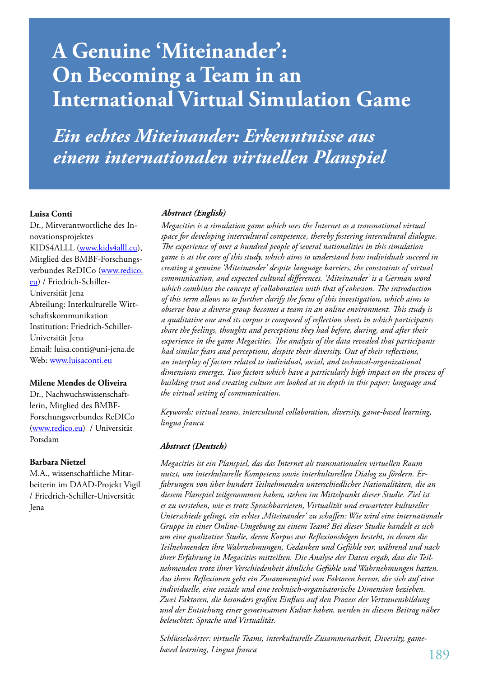# **A Genuine 'Miteinander': On Becoming a Team in an International Virtual Simulation Game**

*Ein echtes Miteinander: Erkenntnisse aus einem internationalen virtuellen Planspiel*

#### **Luisa Conti**

Dr., Mitverantwortliche des Innovationsprojektes KIDS4ALLL (www.kids4alll.eu), Mitglied des BMBF-Forschungsverbundes ReDICo (www.redico. eu) / Friedrich-Schiller-Universität Jena Abteilung: Interkulturelle Wirtschaftskommunikation Institution: Friedrich-Schiller-Universität Jena Email: luisa.conti@uni-jena.de Web: www.luisaconti.eu

#### **Milene Mendes de Oliveira**

Dr., Nachwuchswissenschaftlerin, Mitglied des BMBF-Forschungsverbundes ReDICo (www.redico.eu) / Universität Potsdam

#### **Barbara Nietzel**

M.A., wissenschaftliche Mitarbeiterin im DAAD-Projekt Vigil / Friedrich-Schiller-Universität Jena

#### *Abstract (English)*

*Megacities is a simulation game which uses the Internet as a transnational virtual space for developing intercultural competence, thereby fostering intercultural dialogue. The experience of over a hundred people of several nationalities in this simulation game is at the core of this study, which aims to understand how individuals succeed in creating a genuine 'Miteinander' despite language barriers, the constraints of virtual communication, and expected cultural differences. 'Miteinander' is a German word which combines the concept of collaboration with that of cohesion. The introduction of this term allows us to further clarify the focus of this investigation, which aims to observe how a diverse group becomes a team in an online environment. This study is a qualitative one and its corpus is composed of reflection sheets in which participants share the feelings, thoughts and perceptions they had before, during, and after their experience in the game Megacities. The analysis of the data revealed that participants had similar fears and perceptions, despite their diversity. Out of their reflections, an interplay of factors related to individual, social, and technical-organizational dimensions emerges. Two factors which have a particularly high impact on the process of building trust and creating culture are looked at in depth in this paper: language and the virtual setting of communication.*

*Keywords: virtual teams, intercultural collaboration, diversity, game-based learning, lingua franca*

#### *Abstract (Deutsch)*

*Megacities ist ein Planspiel, das das Internet als transnationalen virtuellen Raum nutzt, um interkulturelle Kompetenz sowie interkulturellen Dialog zu fördern. Erfahrungen von über hundert Teilnehmenden unterschiedlicher Nationalitäten, die an diesem Planspiel teilgenommen haben, stehen im Mittelpunkt dieser Studie. Ziel ist es zu verstehen, wie es trotz Sprachbarrieren, Virtualität und erwarteter kultureller Unterschiede gelingt, ein echtes 'Miteinander' zu schaffen: Wie wird eine internationale Gruppe in einer Online-Umgebung zu einem Team? Bei dieser Studie handelt es sich um eine qualitative Studie, deren Korpus aus Reflexionsbögen besteht, in denen die Teilnehmenden ihre Wahrnehmungen, Gedanken und Gefühle vor, während und nach ihrer Erfahrung in Megacities mitteilten. Die Analyse der Daten ergab, dass die Teilnehmenden trotz ihrer Verschiedenheit ähnliche Gefühle und Wahrnehmungen hatten. Aus ihren Reflexionen geht ein Zusammenspiel von Faktoren hervor, die sich auf eine individuelle, eine soziale und eine technisch-organisatorische Dimension beziehen. Zwei Faktoren, die besonders großen Einfluss auf den Prozess der Vertrauensbildung und der Entstehung einer gemeinsamen Kultur haben, werden in diesem Beitrag näher beleuchtet: Sprache und Virtualität.*

*Schlüsselwörter: virtuelle Teams, interkulturelle Zusammenarbeit, Diversity, gamebased learning, Lingua franca*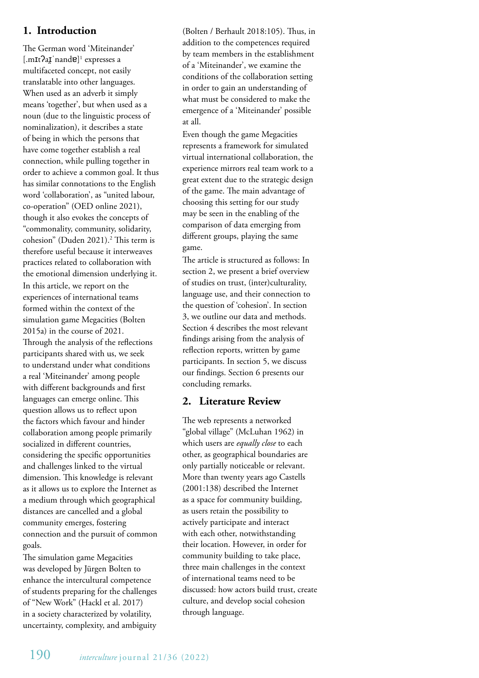# **1. Introduction**

The German word 'Miteinander' [.mIt?aI nande]<sup>1</sup> expresses a multifaceted concept, not easily translatable into other languages. When used as an adverb it simply means 'together', but when used as a noun (due to the linguistic process of nominalization), it describes a state of being in which the persons that have come together establish a real connection, while pulling together in order to achieve a common goal. It thus has similar connotations to the English word 'collaboration', as "united labour, co-operation" (OED online 2021), though it also evokes the concepts of "commonality, community, solidarity, cohesion" (Duden 2021).<sup>2</sup> This term is therefore useful because it interweaves practices related to collaboration with the emotional dimension underlying it. In this article, we report on the experiences of international teams formed within the context of the simulation game Megacities (Bolten 2015a) in the course of 2021. Through the analysis of the reflections participants shared with us, we seek to understand under what conditions a real 'Miteinander' among people with different backgrounds and first languages can emerge online. This question allows us to reflect upon the factors which favour and hinder collaboration among people primarily socialized in different countries, considering the specific opportunities and challenges linked to the virtual dimension. This knowledge is relevant as it allows us to explore the Internet as a medium through which geographical distances are cancelled and a global community emerges, fostering connection and the pursuit of common goals.

The simulation game Megacities was developed by Jürgen Bolten to enhance the intercultural competence of students preparing for the challenges of "New Work" (Hackl et al. 2017) in a society characterized by volatility, uncertainty, complexity, and ambiguity

(Bolten / Berhault 2018:105). Thus, in addition to the competences required by team members in the establishment of a 'Miteinander', we examine the conditions of the collaboration setting in order to gain an understanding of what must be considered to make the emergence of a 'Miteinander' possible at all.

Even though the game Megacities represents a framework for simulated virtual international collaboration, the experience mirrors real team work to a great extent due to the strategic design of the game. The main advantage of choosing this setting for our study may be seen in the enabling of the comparison of data emerging from different groups, playing the same game.

The article is structured as follows: In section 2, we present a brief overview of studies on trust, (inter)culturality, language use, and their connection to the question of 'cohesion'. In section 3, we outline our data and methods. Section 4 describes the most relevant findings arising from the analysis of reflection reports, written by game participants. In section 5, we discuss our findings. Section 6 presents our concluding remarks.

# **2. Literature Review**

The web represents a networked "global village" (McLuhan 1962) in which users are *equally close* to each other, as geographical boundaries are only partially noticeable or relevant. More than twenty years ago Castells (2001:138) described the Internet as a space for community building, as users retain the possibility to actively participate and interact with each other, notwithstanding their location. However, in order for community building to take place, three main challenges in the context of international teams need to be discussed: how actors build trust, create culture, and develop social cohesion through language.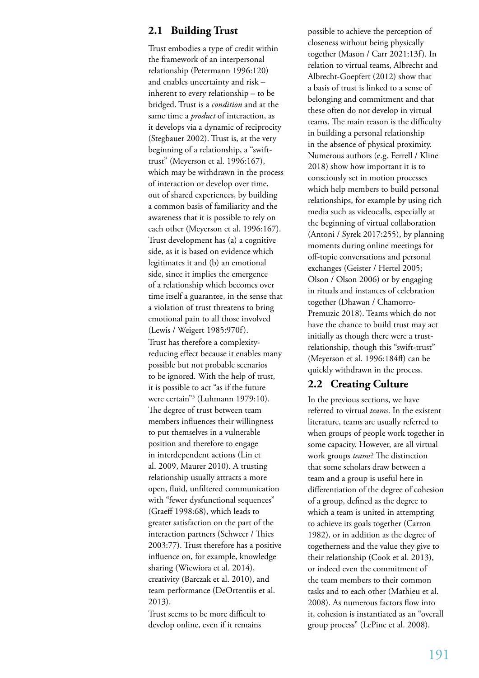## **2.1 Building Trust**

Trust embodies a type of credit within the framework of an interpersonal relationship (Petermann 1996:120) and enables uncertainty and risk – inherent to every relationship – to be bridged. Trust is a *condition* and at the same time a *product* of interaction, as it develops via a dynamic of reciprocity (Stegbauer 2002). Trust is, at the very beginning of a relationship, a "swifttrust" (Meyerson et al. 1996:167), which may be withdrawn in the process of interaction or develop over time, out of shared experiences, by building a common basis of familiarity and the awareness that it is possible to rely on each other (Meyerson et al. 1996:167). Trust development has (a) a cognitive side, as it is based on evidence which legitimates it and (b) an emotional side, since it implies the emergence of a relationship which becomes over time itself a guarantee, in the sense that a violation of trust threatens to bring emotional pain to all those involved (Lewis / Weigert 1985:970f). Trust has therefore a complexityreducing effect because it enables many possible but not probable scenarios to be ignored. With the help of trust, it is possible to act "as if the future were certain"3 (Luhmann 1979:10). The degree of trust between team members influences their willingness to put themselves in a vulnerable position and therefore to engage in interdependent actions (Lin et al. 2009, Maurer 2010). A trusting relationship usually attracts a more open, fluid, unfiltered communication with "fewer dysfunctional sequences" (Graeff 1998:68), which leads to greater satisfaction on the part of the interaction partners (Schweer / Thies 2003:77). Trust therefore has a positive influence on, for example, knowledge sharing (Wiewiora et al. 2014), creativity (Barczak et al. 2010), and team performance (DeOrtentiis et al. 2013).

Trust seems to be more difficult to develop online, even if it remains

possible to achieve the perception of closeness without being physically together (Mason / Carr 2021:13f). In relation to virtual teams, Albrecht and Albrecht-Goepfert (2012) show that a basis of trust is linked to a sense of belonging and commitment and that these often do not develop in virtual teams. The main reason is the difficulty in building a personal relationship in the absence of physical proximity. Numerous authors (e.g. Ferrell / Kline 2018) show how important it is to consciously set in motion processes which help members to build personal relationships, for example by using rich media such as videocalls, especially at the beginning of virtual collaboration (Antoni / Syrek 2017:255), by planning moments during online meetings for off-topic conversations and personal exchanges (Geister / Hertel 2005; Olson / Olson 2006) or by engaging in rituals and instances of celebration together (Dhawan / Chamorro-Premuzic 2018). Teams which do not have the chance to build trust may act initially as though there were a trustrelationship, though this "swift-trust" (Meyerson et al. 1996:184ff) can be quickly withdrawn in the process.

#### **2.2 Creating Culture**

In the previous sections, we have referred to virtual *teams*. In the existent literature, teams are usually referred to when groups of people work together in some capacity. However, are all virtual work groups *teams*? The distinction that some scholars draw between a team and a group is useful here in differentiation of the degree of cohesion of a group, defined as the degree to which a team is united in attempting to achieve its goals together (Carron 1982), or in addition as the degree of togetherness and the value they give to their relationship (Cook et al. 2013), or indeed even the commitment of the team members to their common tasks and to each other (Mathieu et al. 2008). As numerous factors flow into it, cohesion is instantiated as an "overall group process" (LePine et al. 2008).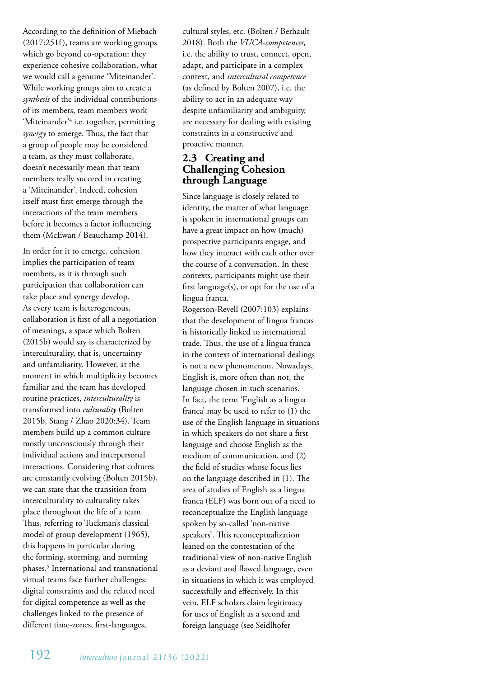According to the definition of Miebach (2017:251f), teams are working groups which go beyond co-operation: they experience cohesive collaboration, what we would call a genuine 'Miteinander'. While working groups aim to create a *synthesis* of the individual contributions of its members, team members work 'Miteinander<sup>'4</sup> i.e. together, permitting *synergy* to emerge. Thus, the fact that a group of people may be considered a team, as they must collaborate, doesn't necessarily mean that team members really succeed in creating a 'Miteinander'. Indeed, cohesion itself must first emerge through the interactions of the team members before it becomes a factor influencing them (McEwan / Beauchamp 2014).

In order for it to emerge, cohesion implies the participation of team members, as it is through such participation that collaboration can take place and synergy develop. As every team is heterogeneous, collaboration is first of all a negotiation of meanings, a space which Bolten (2015b) would say is characterized by interculturality, that is, uncertainty and unfamiliarity. However, at the moment in which multiplicity becomes familiar and the team has developed routine practices, *interculturality* is transformed into *culturality* (Bolten 2015b, Stang / Zhao 2020:34). Team members build up a common culture mostly unconsciously through their individual actions and interpersonal interactions. Considering that cultures are constantly evolving (Bolten 2015b), we can state that the transition from interculturality to culturality takes place throughout the life of a team. Thus, referring to Tuckman's classical model of group development (1965), this happens in particular during the forming, storming, and norming phases.5 International and transnational virtual teams face further challenges: digital constraints and the related need for digital competence as well as the challenges linked to the presence of different time-zones, first-languages,

cultural styles, etc. (Bolten / Berhault 2018). Both the *VUCA-competences,* i.e. the ability to trust, connect, open, adapt, and participate in a complex context, and *intercultural competence*  (as defined by Bolten 2007), i.e. the ability to act in an adequate way despite unfamiliarity and ambiguity, are necessary for dealing with existing constraints in a constructive and proactive manner.

# **2.3 Creating and Challenging Cohesion through Language**

Since language is closely related to identity, the matter of what language is spoken in international groups can have a great impact on how (much) prospective participants engage, and how they interact with each other over the course of a conversation. In these contexts, participants might use their first language(s), or opt for the use of a lingua franca.

Rogerson-Revell (2007:103) explains that the development of lingua francas is historically linked to international trade. Thus, the use of a lingua franca in the context of international dealings is not a new phenomenon. Nowadays, English is, more often than not, the language chosen in such scenarios. In fact, the term 'English as a lingua franca' may be used to refer to (1) the use of the English language in situations in which speakers do not share a first language and choose English as the medium of communication, and (2) the field of studies whose focus lies on the language described in (1). The area of studies of English as a lingua franca (ELF) was born out of a need to reconceptualize the English language spoken by so-called 'non-native speakers'. This reconceptualization leaned on the contestation of the traditional view of non-native English as a deviant and flawed language, even in situations in which it was employed successfully and effectively. In this vein, ELF scholars claim legitimacy for uses of English as a second and foreign language (see Seidlhofer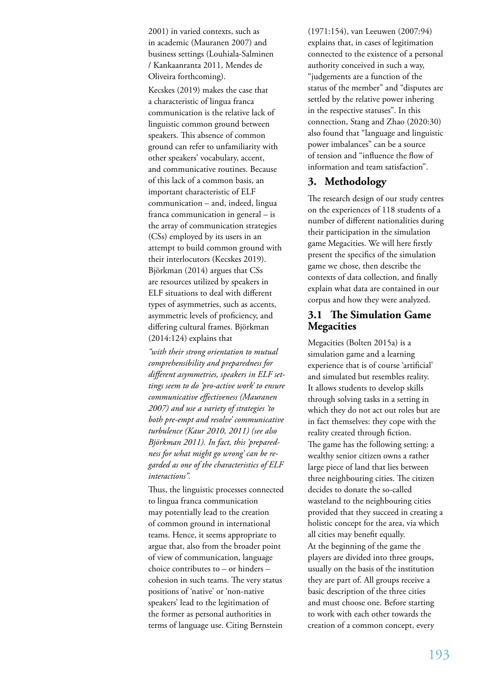2001) in varied contexts, such as in academic (Mauranen 2007) and business settings (Louhiala-Salminen / Kankaanranta 2011, Mendes de Oliveira forthcoming).

Kecskes (2019) makes the case that a characteristic of lingua franca communication is the relative lack of linguistic common ground between speakers. This absence of common ground can refer to unfamiliarity with other speakers' vocabulary, accent, and communicative routines. Because of this lack of a common basis, an important characteristic of ELF communication – and, indeed, lingua franca communication in general – is the array of communication strategies (CSs) employed by its users in an attempt to build common ground with their interlocutors (Kecskes 2019). Björkman (2014) argues that CSs are resources utilized by speakers in ELF situations to deal with different types of asymmetries, such as accents, asymmetric levels of proficiency, and differing cultural frames. Björkman (2014:124) explains that

*"with their strong orientation to mutual comprehensibility and preparedness for different asymmetries, speakers in ELF settings seem to do 'pro-active work' to ensure communicative effectiveness (Mauranen 2007) and use a variety of strategies 'to both pre-empt and resolve' communicative turbulence (Kaur 2010, 2011) (see also Björkman 2011). In fact, this 'preparedness for what might go wrong' can be regarded as one of the characteristics of ELF interactions".* 

Thus, the linguistic processes connected to lingua franca communication may potentially lead to the creation of common ground in international teams. Hence, it seems appropriate to argue that, also from the broader point of view of communication, language choice contributes to – or hinders – cohesion in such teams. The very status positions of 'native' or 'non-native speakers' lead to the legitimation of the former as personal authorities in terms of language use. Citing Bernstein

(1971:154), van Leeuwen (2007:94) explains that, in cases of legitimation connected to the existence of a personal authority conceived in such a way, "judgements are a function of the status of the member" and "disputes are settled by the relative power inhering in the respective statuses". In this connection, Stang and Zhao (2020:30) also found that "language and linguistic power imbalances" can be a source of tension and "influence the flow of information and team satisfaction".

# **3. Methodology**

The research design of our study centres on the experiences of 118 students of a number of different nationalities during their participation in the simulation game Megacities. We will here firstly present the specifics of the simulation game we chose, then describe the contexts of data collection, and finally explain what data are contained in our corpus and how they were analyzed.

#### **3.1 The Simulation Game Megacities**

Megacities (Bolten 2015a) is a simulation game and a learning experience that is of course 'artificial' and simulated but resembles reality. It allows students to develop skills through solving tasks in a setting in which they do not act out roles but are in fact themselves: they cope with the reality created through fiction. The game has the following setting: a wealthy senior citizen owns a rather large piece of land that lies between three neighbouring cities. The citizen decides to donate the so-called wasteland to the neighbouring cities provided that they succeed in creating a holistic concept for the area, via which all cities may benefit equally. At the beginning of the game the players are divided into three groups, usually on the basis of the institution they are part of. All groups receive a basic description of the three cities and must choose one. Before starting to work with each other towards the creation of a common concept, every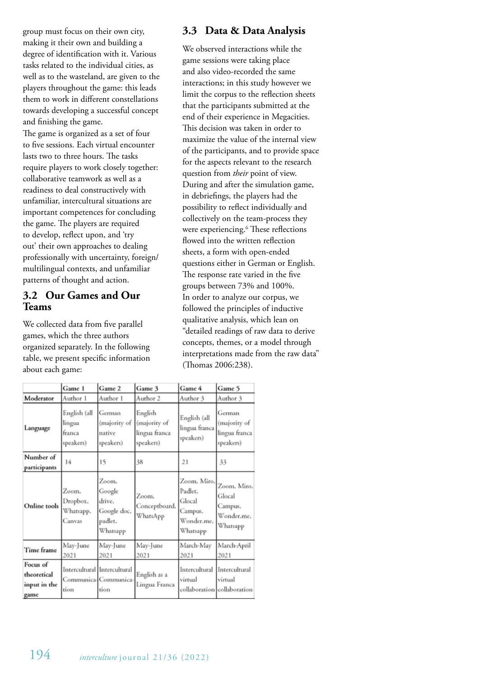group must focus on their own city, making it their own and building a degree of identification with it. Various tasks related to the individual cities, as well as to the wasteland, are given to the players throughout the game: this leads them to work in different constellations towards developing a successful concept and finishing the game.

The game is organized as a set of four to five sessions. Each virtual encounter lasts two to three hours. The tasks require players to work closely together: collaborative teamwork as well as a readiness to deal constructively with unfamiliar, intercultural situations are important competences for concluding the game. The players are required to develop, reflect upon, and 'try out' their own approaches to dealing professionally with uncertainty, foreign/ multilingual contexts, and unfamiliar patterns of thought and action.

#### **3.2 Our Games and Our Teams**

We collected data from five parallel games, which the three authors organized separately. In the following table, we present specific information about each game:

# **3.3 Data & Data Analysis**

We observed interactions while the game sessions were taking place and also video-recorded the same interactions; in this study however we limit the corpus to the reflection sheets that the participants submitted at the end of their experience in Megacities. This decision was taken in order to maximize the value of the internal view of the participants, and to provide space for the aspects relevant to the research question from *their* point of view. During and after the simulation game, in debriefings, the players had the possibility to reflect individually and collectively on the team-process they were experiencing.6 These reflections flowed into the written reflection sheets, a form with open-ended questions either in German or English. The response rate varied in the five groups between 73% and 100%. In order to analyze our corpus, we followed the principles of inductive qualitative analysis, which lean on "detailed readings of raw data to derive concepts, themes, or a model through interpretations made from the raw data" (Thomas 2006:238).

|                                                 | Game 1                                        | Game 2                                                          | Game 3                                                | Game 4                                                                | Game 5                                                     |
|-------------------------------------------------|-----------------------------------------------|-----------------------------------------------------------------|-------------------------------------------------------|-----------------------------------------------------------------------|------------------------------------------------------------|
| Moderator                                       | Author 1                                      | Author 1                                                        | Author 2                                              | Author 3                                                              | Author 3                                                   |
| Language                                        | English (all<br>lingua<br>franca<br>speakers) | German<br>(majority of<br>native<br>speakers)                   | English<br>(majority of<br>lingua franca<br>speakers) | English (all<br>lingua franca<br>speakers)                            | German<br>(majority of<br>lingua franca<br>speakers)       |
| Number of<br>participants                       | 14                                            | 15                                                              | 38                                                    | 21                                                                    | 33                                                         |
| Online tools                                    | Zoom,<br>Dropbox.<br>Whatsapp,<br>Canvas      | Zoom,<br>Google<br>drive.<br>Google doc,<br>padlet,<br>Whatsapp | Zoom,<br>Conceptboard,<br>WhatsApp                    | Zoom, Miro,<br>Padlet,<br>Glocal<br>Campus,<br>Wonder.me.<br>Whatsapp | Zoom, Miro,<br>Glocal<br>Campus,<br>Wonder.me.<br>Whatsapp |
| Time frame                                      | May-June<br>2021                              | May-June<br>2021                                                | May-June<br>2021                                      | March-May<br>2021                                                     | March-April<br>2021                                        |
| Focus of<br>theoretical<br>input in the<br>game | tion                                          | Intercultural Intercultural<br>Communica-Communica-<br>tion     | English as a<br>Lingua Franca                         | Intercultural<br>virtual                                              | Intercultural<br>virtual<br>collaboration collaboration    |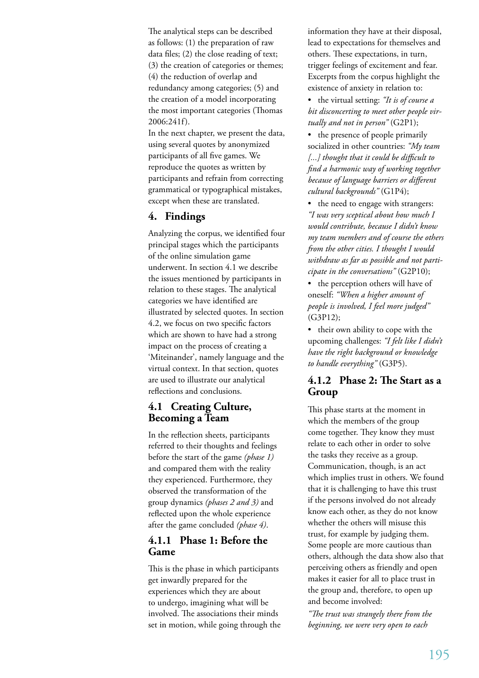The analytical steps can be described as follows: (1) the preparation of raw data files; (2) the close reading of text; (3) the creation of categories or themes; (4) the reduction of overlap and redundancy among categories; (5) and the creation of a model incorporating the most important categories (Thomas 2006:241f).

In the next chapter, we present the data, using several quotes by anonymized participants of all five games. We reproduce the quotes as written by participants and refrain from correcting grammatical or typographical mistakes, except when these are translated.

# **4. Findings**

Analyzing the corpus, we identified four principal stages which the participants of the online simulation game underwent. In section 4.1 we describe the issues mentioned by participants in relation to these stages. The analytical categories we have identified are illustrated by selected quotes. In section 4.2, we focus on two specific factors which are shown to have had a strong impact on the process of creating a 'Miteinander', namely language and the virtual context. In that section, quotes are used to illustrate our analytical reflections and conclusions.

# **4.1 Creating Culture, Becoming a Team**

In the reflection sheets, participants referred to their thoughts and feelings before the start of the game *(phase 1)* and compared them with the reality they experienced. Furthermore, they observed the transformation of the group dynamics *(phases 2 and 3)* and reflected upon the whole experience after the game concluded *(phase 4)*.

## **4.1.1 Phase 1: Before the Game**

This is the phase in which participants get inwardly prepared for the experiences which they are about to undergo, imagining what will be involved. The associations their minds set in motion, while going through the information they have at their disposal, lead to expectations for themselves and others. These expectations, in turn, trigger feelings of excitement and fear. Excerpts from the corpus highlight the existence of anxiety in relation to:

• the virtual setting: *"It is of course a bit disconcerting to meet other people virtually and not in person"* (G2P1);

• the presence of people primarily socialized in other countries: *"My team [...] thought that it could be difficult to find a harmonic way of working together because of language barriers or different cultural backgrounds"* (G1P4);

• the need to engage with strangers: *"I was very sceptical about how much I would contribute, because I didn't know my team members and of course the others from the other cities. I thought I would withdraw as far as possible and not participate in the conversations"* (G2P10);

• the perception others will have of oneself: *"When a higher amount of people is involved, I feel more judged"* (G3P12);

• their own ability to cope with the upcoming challenges: *"I felt like I didn't have the right background or knowledge to handle everything"* (G3P5).

## **4.1.2 Phase 2: The Start as a Group**

This phase starts at the moment in which the members of the group come together. They know they must relate to each other in order to solve the tasks they receive as a group. Communication, though, is an act which implies trust in others. We found that it is challenging to have this trust if the persons involved do not already know each other, as they do not know whether the others will misuse this trust, for example by judging them. Some people are more cautious than others, although the data show also that perceiving others as friendly and open makes it easier for all to place trust in the group and, therefore, to open up and become involved:

*"The trust was strangely there from the beginning, we were very open to each*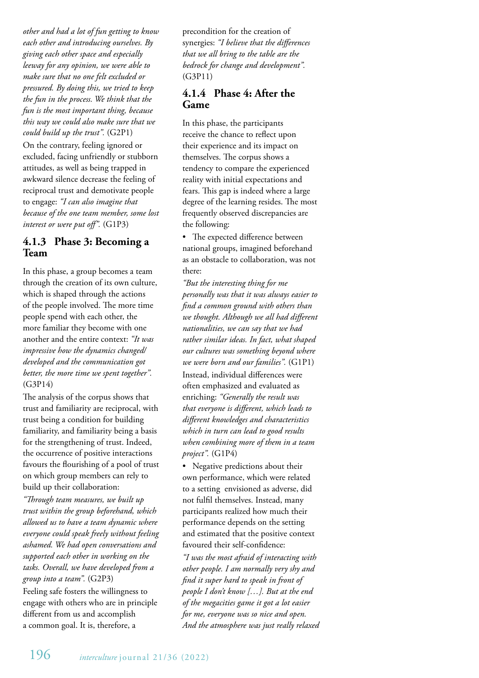*other and had a lot of fun getting to know each other and introducing ourselves. By giving each other space and especially leeway for any opinion, we were able to make sure that no one felt excluded or pressured. By doing this, we tried to keep the fun in the process. We think that the fun is the most important thing, because this way we could also make sure that we could build up the trust".* (G2P1) On the contrary, feeling ignored or excluded, facing unfriendly or stubborn attitudes, as well as being trapped in awkward silence decrease the feeling of reciprocal trust and demotivate people to engage: *"I can also imagine that because of the one team member, some lost interest or were put off".* (G1P3)

## **4.1.3 Phase 3: Becoming a Team**

In this phase, a group becomes a team through the creation of its own culture, which is shaped through the actions of the people involved. The more time people spend with each other, the more familiar they become with one another and the entire context: *"It was impressive how the dynamics changed/ developed and the communication got better, the more time we spent together".*  (G3P14)

The analysis of the corpus shows that trust and familiarity are reciprocal, with trust being a condition for building familiarity, and familiarity being a basis for the strengthening of trust. Indeed, the occurrence of positive interactions favours the flourishing of a pool of trust on which group members can rely to build up their collaboration:

*"Through team measures, we built up trust within the group beforehand, which allowed us to have a team dynamic where everyone could speak freely without feeling ashamed. We had open conversations and supported each other in working on the tasks. Overall, we have developed from a group into a team".* (G2P3)

Feeling safe fosters the willingness to engage with others who are in principle different from us and accomplish a common goal. It is, therefore, a

precondition for the creation of synergies: *"I believe that the differences that we all bring to the table are the bedrock for change and development".*  (G3P11)

# **4.1.4 Phase 4: After the Game**

In this phase, the participants receive the chance to reflect upon their experience and its impact on themselves. The corpus shows a tendency to compare the experienced reality with initial expectations and fears. This gap is indeed where a large degree of the learning resides. The most frequently observed discrepancies are the following:

• The expected difference between national groups, imagined beforehand as an obstacle to collaboration, was not there:

*"But the interesting thing for me personally was that it was always easier to find a common ground with others than we thought. Although we all had different nationalities, we can say that we had rather similar ideas. In fact, what shaped our cultures was something beyond where we were born and our families".* (G1P1) Instead, individual differences were often emphasized and evaluated as enriching: *"Generally the result was that everyone is different, which leads to different knowledges and characteristics which in turn can lead to good results when combining more of them in a team project".* (G1P4)

• Negative predictions about their own performance, which were related to a setting envisioned as adverse, did not fulfil themselves. Instead, many participants realized how much their performance depends on the setting and estimated that the positive context favoured their self-confidence:

*"I was the most afraid of interacting with other people. I am normally very shy and find it super hard to speak in front of people I don't know […]. But at the end of the megacities game it got a lot easier for me, everyone was so nice and open. And the atmosphere was just really relaxed*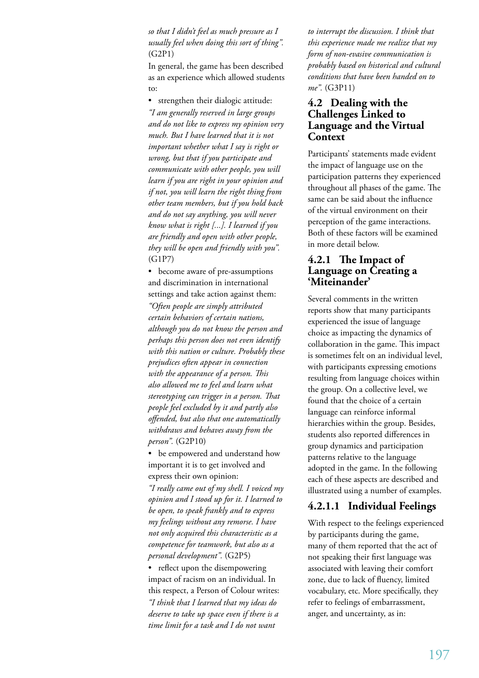*so that I didn't feel as much pressure as I usually feel when doing this sort of thing".*  (G2P1)

In general, the game has been described as an experience which allowed students to:

• strengthen their dialogic attitude: *"I am generally reserved in large groups and do not like to express my opinion very much. But I have learned that it is not important whether what I say is right or wrong, but that if you participate and communicate with other people, you will learn if you are right in your opinion and if not, you will learn the right thing from other team members, but if you hold back and do not say anything, you will never know what is right [...]. I learned if you are friendly and open with other people, they will be open and friendly with you".* (G1P7)

• become aware of pre-assumptions and discrimination in international settings and take action against them: *"Often people are simply attributed* 

*certain behaviors of certain nations, although you do not know the person and perhaps this person does not even identify with this nation or culture. Probably these prejudices often appear in connection with the appearance of a person. This also allowed me to feel and learn what stereotyping can trigger in a person. That people feel excluded by it and partly also offended, but also that one automatically withdraws and behaves away from the person".* (G2P10)

• be empowered and understand how important it is to get involved and express their own opinion:

*"I really came out of my shell. I voiced my opinion and I stood up for it. I learned to be open, to speak frankly and to express my feelings without any remorse. I have not only acquired this characteristic as a competence for teamwork, but also as a personal development".* (G2P5)

• reflect upon the disempowering impact of racism on an individual. In this respect, a Person of Colour writes: *"I think that I learned that my ideas do deserve to take up space even if there is a time limit for a task and I do not want* 

*to interrupt the discussion. I think that this experience made me realize that my form of non-evasive communication is probably based on historical and cultural conditions that have been handed on to me".* (G3P11)

## **4.2 Dealing with the Challenges Linked to Language and the Virtual Context**

Participants' statements made evident the impact of language use on the participation patterns they experienced throughout all phases of the game. The same can be said about the influence of the virtual environment on their perception of the game interactions. Both of these factors will be examined in more detail below.

#### **4.2.1 The Impact of Language on Creating a 'Miteinander'**

Several comments in the written reports show that many participants experienced the issue of language choice as impacting the dynamics of collaboration in the game. This impact is sometimes felt on an individual level, with participants expressing emotions resulting from language choices within the group. On a collective level, we found that the choice of a certain language can reinforce informal hierarchies within the group. Besides, students also reported differences in group dynamics and participation patterns relative to the language adopted in the game. In the following each of these aspects are described and illustrated using a number of examples.

## **4.2.1.1 Individual Feelings**

With respect to the feelings experienced by participants during the game, many of them reported that the act of not speaking their first language was associated with leaving their comfort zone, due to lack of fluency, limited vocabulary, etc. More specifically, they refer to feelings of embarrassment, anger, and uncertainty, as in: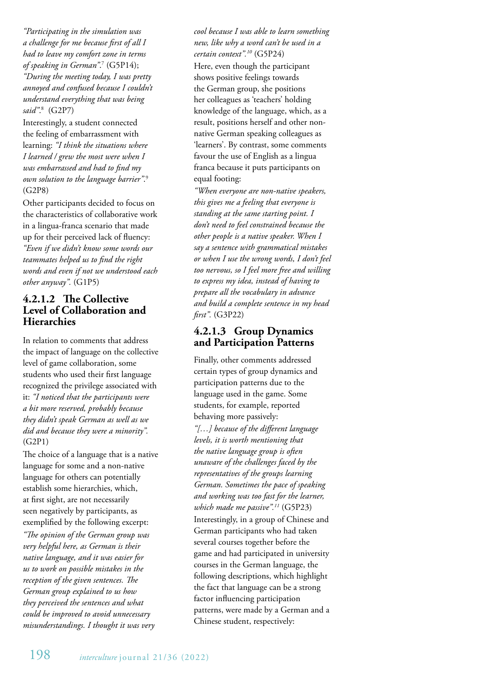*"Participating in the simulation was a challenge for me because first of all I had to leave my comfort zone in terms of speaking in German"*. 7 (G5P14); *"During the meeting today, I was pretty annoyed and confused because I couldn't understand everything that was being said"*. 8 (G2P7)

Interestingly, a student connected the feeling of embarrassment with learning: *"I think the situations where I learned / grew the most were when I was embarrassed and had to find my own solution to the language barrier"*. 9 (G2P8)

Other participants decided to focus on the characteristics of collaborative work in a lingua-franca scenario that made up for their perceived lack of fluency: *"Even if we didn't know some words our teammates helped us to find the right words and even if not we understood each other anyway".* (G1P5)

## **4.2.1.2 The Collective Level of Collaboration and Hierarchies**

In relation to comments that address the impact of language on the collective level of game collaboration, some students who used their first language recognized the privilege associated with it: *"I noticed that the participants were a bit more reserved, probably because they didn't speak German as well as we did and because they were a minority".* (G2P1)

The choice of a language that is a native language for some and a non-native language for others can potentially establish some hierarchies, which, at first sight, are not necessarily seen negatively by participants, as exemplified by the following excerpt: *"The opinion of the German group was very helpful here, as German is their native language, and it was easier for us to work on possible mistakes in the reception of the given sentences. The German group explained to us how they perceived the sentences and what could be improved to avoid unnecessary misunderstandings. I thought it was very* 

*cool because I was able to learn something new, like why a word can't be used in a certain context".10* (G5P24)

Here, even though the participant shows positive feelings towards the German group, she positions her colleagues as 'teachers' holding knowledge of the language, which, as a result, positions herself and other nonnative German speaking colleagues as 'learners'. By contrast, some comments favour the use of English as a lingua franca because it puts participants on equal footing:

*"When everyone are non-native speakers, this gives me a feeling that everyone is standing at the same starting point. I don't need to feel constrained because the other people is a native speaker. When I say a sentence with grammatical mistakes or when I use the wrong words, I don't feel too nervous, so I feel more free and willing to express my idea, instead of having to prepare all the vocabulary in advance and build a complete sentence in my head first".* (G3P22)

# **4.2.1.3 Group Dynamics and Participation Patterns**

Finally, other comments addressed certain types of group dynamics and participation patterns due to the language used in the game. Some students, for example, reported behaving more passively: *"[…] because of the different language levels, it is worth mentioning that the native language group is often unaware of the challenges faced by the representatives of the groups learning German. Sometimes the pace of speaking and working was too fast for the learner, which made me passive".11* (G5P23) Interestingly, in a group of Chinese and German participants who had taken several courses together before the game and had participated in university courses in the German language, the following descriptions, which highlight the fact that language can be a strong factor influencing participation patterns, were made by a German and a Chinese student, respectively: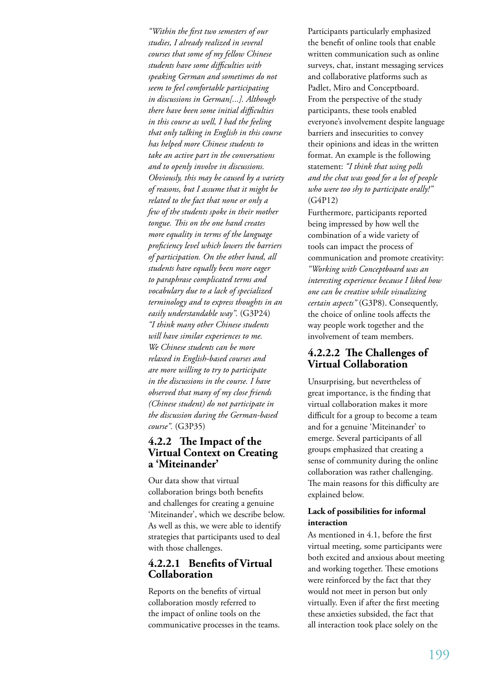*"Within the first two semesters of our studies, I already realized in several courses that some of my fellow Chinese students have some difficulties with speaking German and sometimes do not seem to feel comfortable participating in discussions in German[...]. Although there have been some initial difficulties in this course as well, I had the feeling that only talking in English in this course has helped more Chinese students to take an active part in the conversations and to openly involve in discussions. Obviously, this may be caused by a variety of reasons, but I assume that it might be related to the fact that none or only a few of the students spoke in their mother tongue. This on the one hand creates more equality in terms of the language proficiency level which lowers the barriers of participation. On the other hand, all students have equally been more eager to paraphrase complicated terms and vocabulary due to a lack of specialized terminology and to express thoughts in an easily understandable way".* (G3P24) *"I think many other Chinese students will have similar experiences to me. We Chinese students can be more relaxed in English-based courses and are more willing to try to participate in the discussions in the course. I have observed that many of my close friends (Chinese student) do not participate in the discussion during the German-based course".* (G3P35)

## **4.2.2 The Impact of the Virtual Context on Creating a 'Miteinander'**

Our data show that virtual collaboration brings both benefits and challenges for creating a genuine 'Miteinander', which we describe below. As well as this, we were able to identify strategies that participants used to deal with those challenges.

## **4.2.2.1 Benefits of Virtual Collaboration**

Reports on the benefits of virtual collaboration mostly referred to the impact of online tools on the communicative processes in the teams. Participants particularly emphasized the benefit of online tools that enable written communication such as online surveys, chat, instant messaging services and collaborative platforms such as Padlet, Miro and Conceptboard. From the perspective of the study participants, these tools enabled everyone's involvement despite language barriers and insecurities to convey their opinions and ideas in the written format. An example is the following statement: *"I think that using polls and the chat was good for a lot of people who were too shy to participate orally!"* (G4P12)

Furthermore, participants reported being impressed by how well the combination of a wide variety of tools can impact the process of communication and promote creativity: *"Working with Conceptboard was an interesting experience because I liked how one can be creative while visualizing certain aspects"* (G3P8). Consequently, the choice of online tools affects the way people work together and the involvement of team members.

## **4.2.2.2 The Challenges of Virtual Collaboration**

Unsurprising, but nevertheless of great importance, is the finding that virtual collaboration makes it more difficult for a group to become a team and for a genuine 'Miteinander' to emerge. Several participants of all groups emphasized that creating a sense of community during the online collaboration was rather challenging. The main reasons for this difficulty are explained below.

#### **Lack of possibilities for informal interaction**

As mentioned in 4.1, before the first virtual meeting, some participants were both excited and anxious about meeting and working together. These emotions were reinforced by the fact that they would not meet in person but only virtually. Even if after the first meeting these anxieties subsided, the fact that all interaction took place solely on the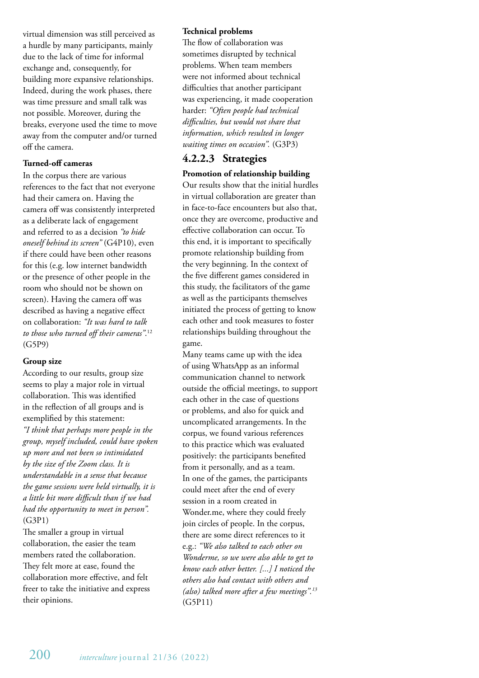virtual dimension was still perceived as a hurdle by many participants, mainly due to the lack of time for informal exchange and, consequently, for building more expansive relationships. Indeed, during the work phases, there was time pressure and small talk was not possible. Moreover, during the breaks, everyone used the time to move away from the computer and/or turned off the camera.

#### **Turned-off cameras**

In the corpus there are various references to the fact that not everyone had their camera on. Having the camera off was consistently interpreted as a deliberate lack of engagement and referred to as a decision *"to hide oneself behind its screen"* (G4P10), even if there could have been other reasons for this (e.g. low internet bandwidth or the presence of other people in the room who should not be shown on screen). Having the camera off was described as having a negative effect on collaboration: *"It was hard to talk to those who turned off their cameras"*. 12 (G5P9)

#### **Group size**

According to our results, group size seems to play a major role in virtual collaboration. This was identified in the reflection of all groups and is exemplified by this statement: *"I think that perhaps more people in the group, myself included, could have spoken up more and not been so intimidated by the size of the Zoom class. It is understandable in a sense that because the game sessions were held virtually, it is a little bit more difficult than if we had had the opportunity to meet in person".* (G3P1)

The smaller a group in virtual collaboration, the easier the team members rated the collaboration. They felt more at ease, found the collaboration more effective, and felt freer to take the initiative and express their opinions.

#### **Technical problems**

The flow of collaboration was sometimes disrupted by technical problems. When team members were not informed about technical difficulties that another participant was experiencing, it made cooperation harder: *"Often people had technical difficulties, but would not share that information, which resulted in longer waiting times on occasion".* (G3P3)

## **4.2.2.3 Strategies**

#### **Promotion of relationship building**

Our results show that the initial hurdles in virtual collaboration are greater than in face-to-face encounters but also that, once they are overcome, productive and effective collaboration can occur. To this end, it is important to specifically promote relationship building from the very beginning. In the context of the five different games considered in this study, the facilitators of the game as well as the participants themselves initiated the process of getting to know each other and took measures to foster relationships building throughout the game.

Many teams came up with the idea of using WhatsApp as an informal communication channel to network outside the official meetings, to support each other in the case of questions or problems, and also for quick and uncomplicated arrangements. In the corpus, we found various references to this practice which was evaluated positively: the participants benefited from it personally, and as a team. In one of the games, the participants could meet after the end of every session in a room created in Wonder.me, where they could freely join circles of people. In the corpus, there are some direct references to it e.g.: *"We also talked to each other on Wonderme, so we were also able to get to know each other better. [...] I noticed the others also had contact with others and (also) talked more after a few meetings".13* (G5P11)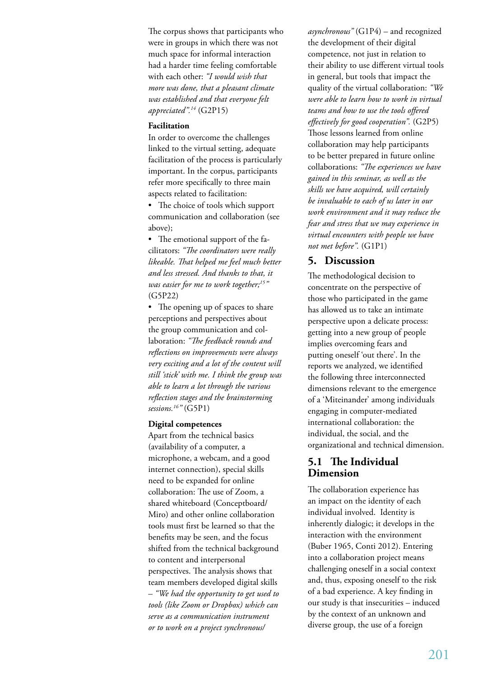The corpus shows that participants who were in groups in which there was not much space for informal interaction had a harder time feeling comfortable with each other: *"I would wish that more was done, that a pleasant climate was established and that everyone felt appreciated".14* (G2P15)

#### **Facilitation**

In order to overcome the challenges linked to the virtual setting, adequate facilitation of the process is particularly important. In the corpus, participants refer more specifically to three main aspects related to facilitation:

• The choice of tools which support communication and collaboration (see above);

• The emotional support of the facilitators: *"The coordinators were really likeable. That helped me feel much better and less stressed. And thanks to that, it was easier for me to work together;15"* (G5P22)

• The opening up of spaces to share perceptions and perspectives about the group communication and collaboration: *"The feedback rounds and reflections on improvements were always very exciting and a lot of the content will still 'stick' with me. I think the group was able to learn a lot through the various reflection stages and the brainstorming sessions.16"* (G5P1)

#### **Digital competences**

Apart from the technical basics (availability of a computer, a microphone, a webcam, and a good internet connection), special skills need to be expanded for online collaboration: The use of Zoom, a shared whiteboard (Conceptboard/ Miro) and other online collaboration tools must first be learned so that the benefits may be seen, and the focus shifted from the technical background to content and interpersonal perspectives. The analysis shows that team members developed digital skills – *"We had the opportunity to get used to tools (like Zoom or Dropbox) which can serve as a communication instrument or to work on a project synchronous/* 

*asynchronous"* (G1P4) – and recognized the development of their digital competence, not just in relation to their ability to use different virtual tools in general, but tools that impact the quality of the virtual collaboration: *"We were able to learn how to work in virtual teams and how to use the tools offered effectively for good cooperation".* (G2P5) Those lessons learned from online collaboration may help participants to be better prepared in future online collaborations: *"The experiences we have gained in this seminar, as well as the skills we have acquired, will certainly be invaluable to each of us later in our work environment and it may reduce the fear and stress that we may experience in virtual encounters with people we have not met before".* (G1P1)

#### **5. Discussion**

The methodological decision to concentrate on the perspective of those who participated in the game has allowed us to take an intimate perspective upon a delicate process: getting into a new group of people implies overcoming fears and putting oneself 'out there'. In the reports we analyzed, we identified the following three interconnected dimensions relevant to the emergence of a 'Miteinander' among individuals engaging in computer-mediated international collaboration: the individual, the social, and the organizational and technical dimension.

#### **5.1 The Individual Dimension**

The collaboration experience has an impact on the identity of each individual involved. Identity is inherently dialogic; it develops in the interaction with the environment (Buber 1965, Conti 2012). Entering into a collaboration project means challenging oneself in a social context and, thus, exposing oneself to the risk of a bad experience. A key finding in our study is that insecurities – induced by the context of an unknown and diverse group, the use of a foreign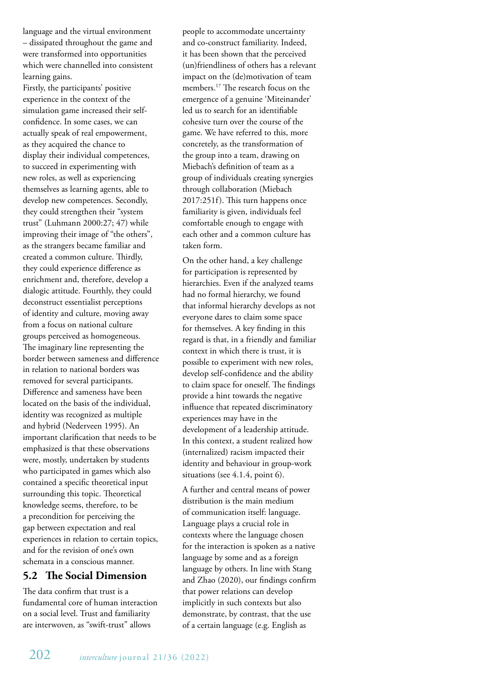language and the virtual environment – dissipated throughout the game and were transformed into opportunities which were channelled into consistent learning gains.

Firstly, the participants' positive experience in the context of the simulation game increased their selfconfidence. In some cases, we can actually speak of real empowerment, as they acquired the chance to display their individual competences, to succeed in experimenting with new roles, as well as experiencing themselves as learning agents, able to develop new competences. Secondly, they could strengthen their "system trust" (Luhmann 2000:27; 47) while improving their image of "the others", as the strangers became familiar and created a common culture. Thirdly, they could experience difference as enrichment and, therefore, develop a dialogic attitude. Fourthly, they could deconstruct essentialist perceptions of identity and culture, moving away from a focus on national culture groups perceived as homogeneous. The imaginary line representing the border between sameness and difference in relation to national borders was removed for several participants. Difference and sameness have been located on the basis of the individual, identity was recognized as multiple and hybrid (Nederveen 1995). An important clarification that needs to be emphasized is that these observations were, mostly, undertaken by students who participated in games which also contained a specific theoretical input surrounding this topic. Theoretical knowledge seems, therefore, to be a precondition for perceiving the gap between expectation and real experiences in relation to certain topics, and for the revision of one's own schemata in a conscious manner.

# **5.2 The Social Dimension**

The data confirm that trust is a fundamental core of human interaction on a social level. Trust and familiarity are interwoven, as "swift-trust" allows

people to accommodate uncertainty and co-construct familiarity. Indeed, it has been shown that the perceived (un)friendliness of others has a relevant impact on the (de)motivation of team members.17 The research focus on the emergence of a genuine 'Miteinander' led us to search for an identifiable cohesive turn over the course of the game. We have referred to this, more concretely, as the transformation of the group into a team, drawing on Miebach's definition of team as a group of individuals creating synergies through collaboration (Miebach 2017:251f). This turn happens once familiarity is given, individuals feel comfortable enough to engage with each other and a common culture has taken form.

On the other hand, a key challenge for participation is represented by hierarchies. Even if the analyzed teams had no formal hierarchy, we found that informal hierarchy develops as not everyone dares to claim some space for themselves. A key finding in this regard is that, in a friendly and familiar context in which there is trust, it is possible to experiment with new roles, develop self-confidence and the ability to claim space for oneself. The findings provide a hint towards the negative influence that repeated discriminatory experiences may have in the development of a leadership attitude. In this context, a student realized how (internalized) racism impacted their identity and behaviour in group-work situations (see 4.1.4, point 6).

A further and central means of power distribution is the main medium of communication itself: language. Language plays a crucial role in contexts where the language chosen for the interaction is spoken as a native language by some and as a foreign language by others. In line with Stang and Zhao (2020), our findings confirm that power relations can develop implicitly in such contexts but also demonstrate, by contrast, that the use of a certain language (e.g. English as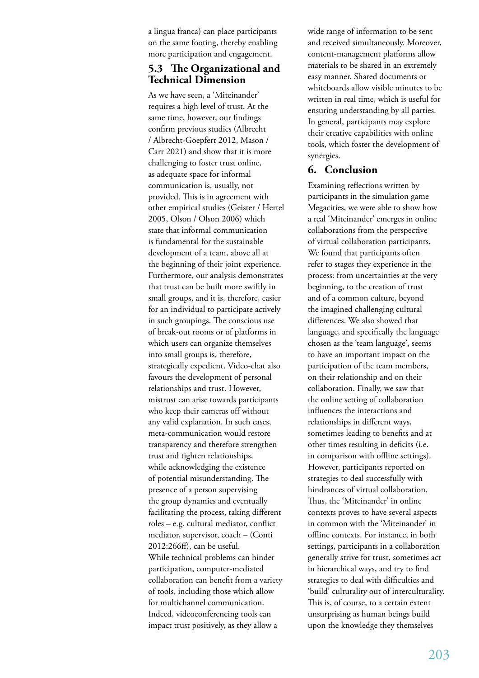a lingua franca) can place participants on the same footing, thereby enabling more participation and engagement.

# **5.3 The Organizational and Technical Dimension**

As we have seen, a 'Miteinander' requires a high level of trust. At the same time, however, our findings confirm previous studies (Albrecht / Albrecht-Goepfert 2012, Mason / Carr 2021) and show that it is more challenging to foster trust online, as adequate space for informal communication is, usually, not provided. This is in agreement with other empirical studies (Geister / Hertel 2005, Olson / Olson 2006) which state that informal communication is fundamental for the sustainable development of a team, above all at the beginning of their joint experience. Furthermore, our analysis demonstrates that trust can be built more swiftly in small groups, and it is, therefore, easier for an individual to participate actively in such groupings. The conscious use of break-out rooms or of platforms in which users can organize themselves into small groups is, therefore, strategically expedient. Video-chat also favours the development of personal relationships and trust. However, mistrust can arise towards participants who keep their cameras off without any valid explanation. In such cases, meta-communication would restore transparency and therefore strengthen trust and tighten relationships, while acknowledging the existence of potential misunderstanding. The presence of a person supervising the group dynamics and eventually facilitating the process, taking different roles – e.g. cultural mediator, conflict mediator, supervisor, coach – (Conti 2012:266ff), can be useful. While technical problems can hinder participation, computer-mediated collaboration can benefit from a variety of tools, including those which allow for multichannel communication. Indeed, videoconferencing tools can impact trust positively, as they allow a

wide range of information to be sent and received simultaneously. Moreover, content-management platforms allow materials to be shared in an extremely easy manner. Shared documents or whiteboards allow visible minutes to be written in real time, which is useful for ensuring understanding by all parties. In general, participants may explore their creative capabilities with online tools, which foster the development of synergies.

## **6. Conclusion**

Examining reflections written by participants in the simulation game Megacities, we were able to show how a real 'Miteinander' emerges in online collaborations from the perspective of virtual collaboration participants. We found that participants often refer to stages they experience in the process: from uncertainties at the very beginning, to the creation of trust and of a common culture, beyond the imagined challenging cultural differences. We also showed that language, and specifically the language chosen as the 'team language', seems to have an important impact on the participation of the team members, on their relationship and on their collaboration. Finally, we saw that the online setting of collaboration influences the interactions and relationships in different ways, sometimes leading to benefits and at other times resulting in deficits (i.e. in comparison with offline settings). However, participants reported on strategies to deal successfully with hindrances of virtual collaboration. Thus, the 'Miteinander' in online contexts proves to have several aspects in common with the 'Miteinander' in offline contexts. For instance, in both settings, participants in a collaboration generally strive for trust, sometimes act in hierarchical ways, and try to find strategies to deal with difficulties and 'build' culturality out of interculturality. This is, of course, to a certain extent unsurprising as human beings build upon the knowledge they themselves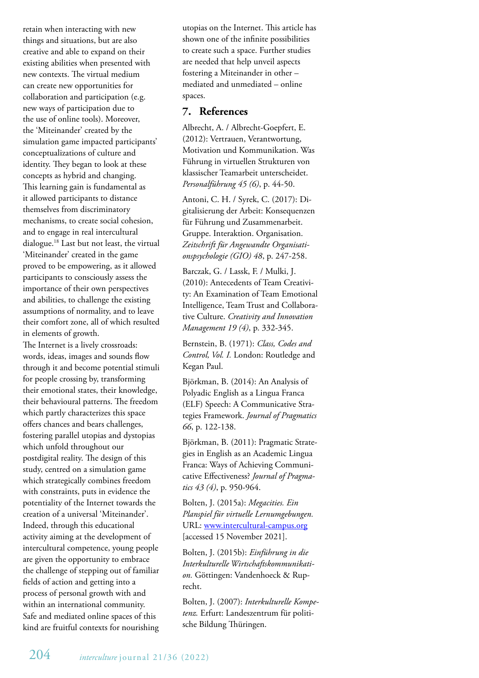retain when interacting with new things and situations, but are also creative and able to expand on their existing abilities when presented with new contexts. The virtual medium can create new opportunities for collaboration and participation (e.g. new ways of participation due to the use of online tools). Moreover, the 'Miteinander' created by the simulation game impacted participants' conceptualizations of culture and identity. They began to look at these concepts as hybrid and changing. This learning gain is fundamental as it allowed participants to distance themselves from discriminatory mechanisms, to create social cohesion, and to engage in real intercultural dialogue.18 Last but not least, the virtual 'Miteinander' created in the game proved to be empowering, as it allowed participants to consciously assess the importance of their own perspectives and abilities, to challenge the existing assumptions of normality, and to leave their comfort zone, all of which resulted in elements of growth.

The Internet is a lively crossroads: words, ideas, images and sounds flow through it and become potential stimuli for people crossing by, transforming their emotional states, their knowledge, their behavioural patterns. The freedom which partly characterizes this space offers chances and bears challenges, fostering parallel utopias and dystopias which unfold throughout our postdigital reality. The design of this study, centred on a simulation game which strategically combines freedom with constraints, puts in evidence the potentiality of the Internet towards the creation of a universal 'Miteinander'. Indeed, through this educational activity aiming at the development of intercultural competence, young people are given the opportunity to embrace the challenge of stepping out of familiar fields of action and getting into a process of personal growth with and within an international community. Safe and mediated online spaces of this kind are fruitful contexts for nourishing

utopias on the Internet. This article has shown one of the infinite possibilities to create such a space. Further studies are needed that help unveil aspects fostering a Miteinander in other – mediated and unmediated – online spaces.

#### **7. References**

Albrecht, A. / Albrecht-Goepfert, E. (2012): Vertrauen, Verantwortung, Motivation und Kommunikation. Was Führung in virtuellen Strukturen von klassischer Teamarbeit unterscheidet. *Personalführung 45 (6)*, p. 44-50.

Antoni, C. H. / Syrek, C. (2017): Digitalisierung der Arbeit: Konsequenzen für Führung und Zusammenarbeit. Gruppe. Interaktion. Organisation. *Zeitschrift für Angewandte Organisationspsychologie (GIO) 48*, p. 247-258.

Barczak, G. / Lassk, F. / Mulki, J. (2010): Antecedents of Team Creativity: An Examination of Team Emotional Intelligence, Team Trust and Collaborative Culture. *Creativity and Innovation Management 19 (4)*, p. 332-345.

Bernstein, B. (1971): *Class, Codes and Control, Vol. I.* London: Routledge and Kegan Paul.

Björkman, B. (2014): An Analysis of Polyadic English as a Lingua Franca (ELF) Speech: A Communicative Strategies Framework. *Journal of Pragmatics 66*, p. 122-138.

Björkman, B. (2011): Pragmatic Strategies in English as an Academic Lingua Franca: Ways of Achieving Communicative Effectiveness? *Journal of Pragmatics 43 (4)*, p. 950-964.

Bolten, J. (2015a): *Megacities. Ein Planspiel für virtuelle Lernumgebungen.* URL: www.intercultural-campus.org [accessed 15 November 2021].

Bolten, J. (2015b): *Einführung in die Interkulturelle Wirtschaftskommunikation.* Göttingen: Vandenhoeck & Ruprecht.

Bolten, J. (2007): *Interkulturelle Kompetenz.* Erfurt: Landeszentrum für politische Bildung Thüringen.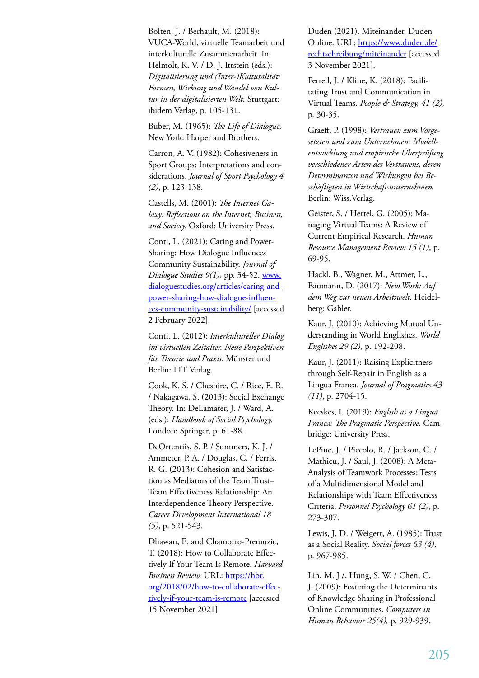Bolten, J. / Berhault, M. (2018): VUCA-World, virtuelle Teamarbeit und interkulturelle Zusammenarbeit. In: Helmolt, K. V. / D. J. Ittstein (eds.): *Digitalisierung und (Inter-)Kulturalität: Formen, Wirkung und Wandel von Kultur in der digitalisierten Welt.* Stuttgart: ibidem Verlag, p. 105-131.

Buber, M. (1965): *The Life of Dialogue.* New York: Harper and Brothers.

Carron, A. V. (1982): Cohesiveness in Sport Groups: Interpretations and considerations. *Journal of Sport Psychology 4 (2)*, p. 123-138.

Castells, M. (2001): *The Internet Galaxy: Reflections on the Internet, Business, and Society.* Oxford: University Press.

Conti, L. (2021): Caring and Power-Sharing: How Dialogue Influences Community Sustainability. *Journal of Dialogue Studies 9(1)*, pp. 34-52. www. dialoguestudies.org/articles/caring-andpower-sharing-how-dialogue-influences-community-sustainability/ [accessed 2 February 2022].

Conti, L. (2012): *Interkultureller Dialog im virtuellen Zeitalter. Neue Perspektiven für Theorie und Praxis.* Münster und Berlin: LIT Verlag.

Cook, K. S. / Cheshire, C. / Rice, E. R. / Nakagawa, S. (2013): Social Exchange Theory. In: DeLamater, J. / Ward, A. (eds.): *Handbook of Social Psychology.* London: Springer, p. 61-88.

DeOrtentiis, S. P. / Summers, K. J. / Ammeter, P. A. / Douglas, C. / Ferris, R. G. (2013): Cohesion and Satisfaction as Mediators of the Team Trust– Team Effectiveness Relationship: An Interdependence Theory Perspective. *Career Development International 18 (5)*, p. 521-543.

Dhawan, E. and Chamorro-Premuzic, T. (2018): How to Collaborate Effectively If Your Team Is Remote. *Harvard Business Review.* URL: https://hbr. org/2018/02/how-to-collaborate-effectively-if-your-team-is-remote [accessed 15 November 2021].

Duden (2021). Miteinander. Duden Online. URL: https://www.duden.de/ rechtschreibung/miteinander [accessed 3 November 2021].

Ferrell, J. / Kline, K. (2018): Facilitating Trust and Communication in Virtual Teams. *People & Strategy, 41 (2),* p. 30-35.

Graeff, P. (1998): *Vertrauen zum Vorgesetzten und zum Unternehmen: Modellentwicklung und empirische Überprüfung verschiedener Arten des Vertrauens, deren Determinanten und Wirkungen bei Beschäftigten in Wirtschaftsunternehmen.*  Berlin: Wiss.Verlag.

Geister, S. / Hertel, G. (2005): Managing Virtual Teams: A Review of Current Empirical Research. *Human Resource Management Review 15 (1)*, p. 69-95.

Hackl, B., Wagner, M., Attmer, L., Baumann, D. (2017): *New Work: Auf dem Weg zur neuen Arbeitswelt.* Heidelberg: Gabler.

Kaur, J. (2010): Achieving Mutual Understanding in World Englishes. *World Englishes 29 (2)*, p. 192-208.

Kaur, J. (2011): Raising Explicitness through Self-Repair in English as a Lingua Franca. *Journal of Pragmatics 43 (11)*, p. 2704-15.

Kecskes, I. (2019): *English as a Lingua Franca: The Pragmatic Perspective.* Cambridge: University Press.

LePine, J. / Piccolo, R. / Jackson, C. / Mathieu, J. / Saul, J. (2008): A Meta-Analysis of Teamwork Processes: Tests of a Multidimensional Model and Relationships with Team Effectiveness Criteria. *Personnel Psychology 61 (2)*, p. 273-307.

Lewis, J. D. / Weigert, A. (1985): Trust as a Social Reality. *Social forces 63 (4)*, p. 967-985.

Lin, M. J /, Hung, S. W. / Chen, C. J. (2009): Fostering the Determinants of Knowledge Sharing in Professional Online Communities. *Computers in Human Behavior 25(4),* p. 929-939.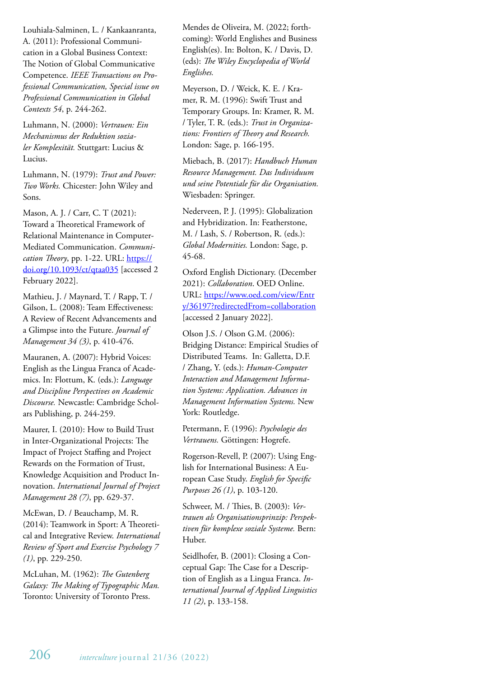Louhiala-Salminen, L. / Kankaanranta, A. (2011): Professional Communication in a Global Business Context: The Notion of Global Communicative Competence. *IEEE Transactions on Professional Communication, Special issue on Professional Communication in Global Contexts 54*, p. 244-262.

Luhmann, N. (2000): *Vertrauen: Ein Mechanismus der Reduktion sozialer Komplexität.* Stuttgart: Lucius & Lucius.

Luhmann, N. (1979): *Trust and Power: Two Works.* Chicester: John Wiley and Sons.

Mason, A. J. / Carr, C. T (2021): Toward a Theoretical Framework of Relational Maintenance in Computer-Mediated Communication. *Communication Theory*, pp. 1-22. URL: https:// doi.org/10.1093/ct/qtaa035 [accessed 2 February 2022].

Mathieu, J. / Maynard, T. / Rapp, T. / Gilson, L. (2008): Team Effectiveness: A Review of Recent Advancements and a Glimpse into the Future. *Journal of Management 34 (3)*, p. 410-476.

Mauranen, A. (2007): Hybrid Voices: English as the Lingua Franca of Academics. In: Flottum, K. (eds.): *Language and Discipline Perspectives on Academic Discourse.* Newcastle: Cambridge Scholars Publishing, p. 244-259.

Maurer, I. (2010): How to Build Trust in Inter-Organizational Projects: The Impact of Project Staffing and Project Rewards on the Formation of Trust, Knowledge Acquisition and Product Innovation. *International Journal of Project Management 28 (7)*, pp. 629-37.

McEwan, D. / Beauchamp, M. R. (2014): Teamwork in Sport: A Theoretical and Integrative Review. *International Review of Sport and Exercise Psychology 7 (1)*, pp. 229-250.

McLuhan, M. (1962): *The Gutenberg Galaxy: The Making of Typographic Man.*  Toronto: University of Toronto Press.

Mendes de Oliveira, M. (2022; forthcoming): World Englishes and Business English(es). In: Bolton, K. / Davis, D. (eds): *The Wiley Encyclopedia of World Englishes.*

Meyerson, D. / Weick, K. E. / Kramer, R. M. (1996): Swift Trust and Temporary Groups. In: Kramer, R. M. / Tyler, T. R. (eds.): *Trust in Organizations: Frontiers of Theory and Research.* London: Sage, p. 166-195.

Miebach, B. (2017): *Handbuch Human Resource Management. Das Individuum und seine Potentiale für die Organisation.*  Wiesbaden: Springer.

Nederveen, P. J. (1995): Globalization and Hybridization. In: Featherstone, M. / Lash, S. / Robertson, R. (eds.): *Global Modernities.* London: Sage, p. 45-68.

Oxford English Dictionary. (December 2021): *Collaboration*. OED Online. URL: https://www.oed.com/view/Entr y/36197?redirectedFrom=collaboration [accessed 2 January 2022].

Olson J.S. / Olson G.M. (2006): Bridging Distance: Empirical Studies of Distributed Teams. In: Galletta, D.F. / Zhang, Y. (eds.): *Human-Computer Interaction and Management Information Systems: Application. Advances in Management Information Systems.* New York: Routledge.

Petermann, F. (1996): *Psychologie des Vertrauens.* Göttingen: Hogrefe.

Rogerson-Revell, P. (2007): Using English for International Business: A European Case Study. *English for Specific Purposes 26 (1)*, p. 103-120.

Schweer, M. / Thies, B. (2003): *Vertrauen als Organisationsprinzip: Perspektiven für komplexe soziale Systeme.* Bern: Huber.

Seidlhofer, B. (2001): Closing a Conceptual Gap: The Case for a Description of English as a Lingua Franca. *International Journal of Applied Linguistics 11 (2)*, p. 133-158.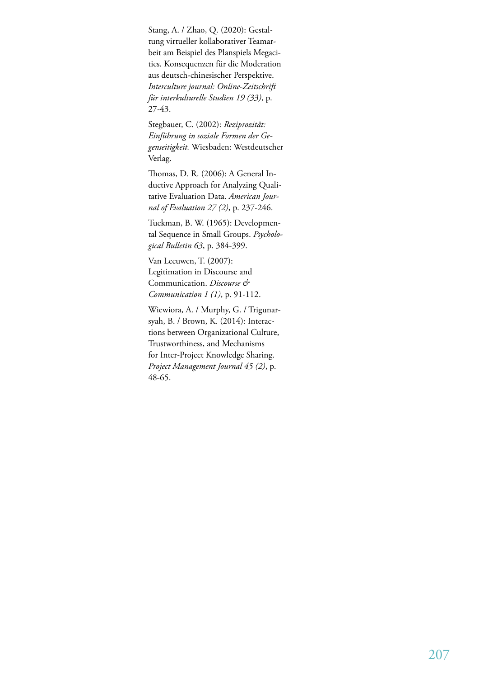Stang, A. / Zhao, Q. (2020): Gestaltung virtueller kollaborativer Teamarbeit am Beispiel des Planspiels Megacities. Konsequenzen für die Moderation aus deutsch-chinesischer Perspektive. *Interculture journal: Online-Zeitschrift für interkulturelle Studien 19 (33)*, p. 27-43.

Stegbauer, C. (2002): *Reziprozität: Einführung in soziale Formen der Gegenseitigkeit.* Wiesbaden: Westdeutscher Verlag.

Thomas, D. R. (2006): A General Inductive Approach for Analyzing Qualitative Evaluation Data. *American Journal of Evaluation 27 (2)*, p. 237-246.

Tuckman, B. W. (1965): Developmental Sequence in Small Groups. *Psychological Bulletin 63*, p. 384-399.

Van Leeuwen, T. (2007): Legitimation in Discourse and Communication. *Discourse & Communication 1 (1)*, p. 91-112.

Wiewiora, A. / Murphy, G. / Trigunarsyah, B. / Brown, K. (2014): Interactions between Organizational Culture, Trustworthiness, and Mechanisms for Inter-Project Knowledge Sharing. *Project Management Journal 45 (2)*, p. 48-65.